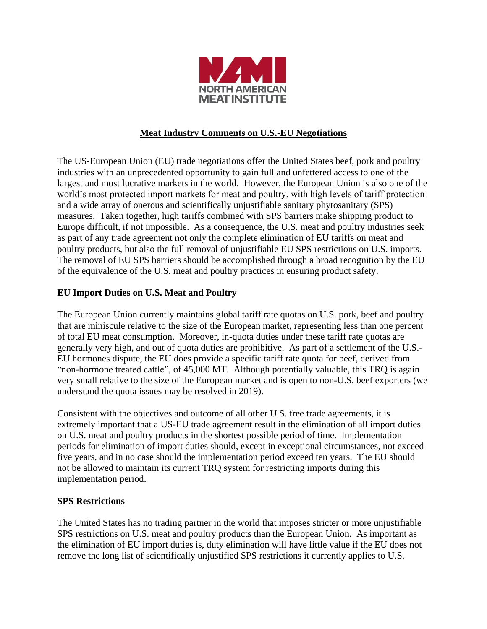

## **Meat Industry Comments on U.S.-EU Negotiations**

The US-European Union (EU) trade negotiations offer the United States beef, pork and poultry industries with an unprecedented opportunity to gain full and unfettered access to one of the largest and most lucrative markets in the world. However, the European Union is also one of the world's most protected import markets for meat and poultry, with high levels of tariff protection and a wide array of onerous and scientifically unjustifiable sanitary phytosanitary (SPS) measures. Taken together, high tariffs combined with SPS barriers make shipping product to Europe difficult, if not impossible. As a consequence, the U.S. meat and poultry industries seek as part of any trade agreement not only the complete elimination of EU tariffs on meat and poultry products, but also the full removal of unjustifiable EU SPS restrictions on U.S. imports. The removal of EU SPS barriers should be accomplished through a broad recognition by the EU of the equivalence of the U.S. meat and poultry practices in ensuring product safety.

## **EU Import Duties on U.S. Meat and Poultry**

The European Union currently maintains global tariff rate quotas on U.S. pork, beef and poultry that are miniscule relative to the size of the European market, representing less than one percent of total EU meat consumption. Moreover, in-quota duties under these tariff rate quotas are generally very high, and out of quota duties are prohibitive. As part of a settlement of the U.S.- EU hormones dispute, the EU does provide a specific tariff rate quota for beef, derived from "non-hormone treated cattle", of 45,000 MT. Although potentially valuable, this TRQ is again very small relative to the size of the European market and is open to non-U.S. beef exporters (we understand the quota issues may be resolved in 2019).

Consistent with the objectives and outcome of all other U.S. free trade agreements, it is extremely important that a US-EU trade agreement result in the elimination of all import duties on U.S. meat and poultry products in the shortest possible period of time. Implementation periods for elimination of import duties should, except in exceptional circumstances, not exceed five years, and in no case should the implementation period exceed ten years. The EU should not be allowed to maintain its current TRQ system for restricting imports during this implementation period.

#### **SPS Restrictions**

The United States has no trading partner in the world that imposes stricter or more unjustifiable SPS restrictions on U.S. meat and poultry products than the European Union. As important as the elimination of EU import duties is, duty elimination will have little value if the EU does not remove the long list of scientifically unjustified SPS restrictions it currently applies to U.S.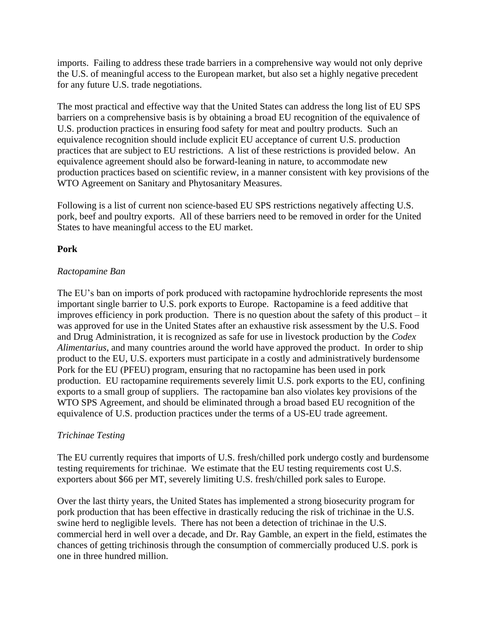imports. Failing to address these trade barriers in a comprehensive way would not only deprive the U.S. of meaningful access to the European market, but also set a highly negative precedent for any future U.S. trade negotiations.

The most practical and effective way that the United States can address the long list of EU SPS barriers on a comprehensive basis is by obtaining a broad EU recognition of the equivalence of U.S. production practices in ensuring food safety for meat and poultry products. Such an equivalence recognition should include explicit EU acceptance of current U.S. production practices that are subject to EU restrictions. A list of these restrictions is provided below. An equivalence agreement should also be forward-leaning in nature, to accommodate new production practices based on scientific review, in a manner consistent with key provisions of the WTO Agreement on Sanitary and Phytosanitary Measures.

Following is a list of current non science-based EU SPS restrictions negatively affecting U.S. pork, beef and poultry exports. All of these barriers need to be removed in order for the United States to have meaningful access to the EU market.

# **Pork**

## *Ractopamine Ban*

The EU's ban on imports of pork produced with ractopamine hydrochloride represents the most important single barrier to U.S. pork exports to Europe. Ractopamine is a feed additive that improves efficiency in pork production. There is no question about the safety of this product – it was approved for use in the United States after an exhaustive risk assessment by the U.S. Food and Drug Administration, it is recognized as safe for use in livestock production by the *Codex Alimentarius*, and many countries around the world have approved the product. In order to ship product to the EU, U.S. exporters must participate in a costly and administratively burdensome Pork for the EU (PFEU) program, ensuring that no ractopamine has been used in pork production. EU ractopamine requirements severely limit U.S. pork exports to the EU, confining exports to a small group of suppliers. The ractopamine ban also violates key provisions of the WTO SPS Agreement, and should be eliminated through a broad based EU recognition of the equivalence of U.S. production practices under the terms of a US-EU trade agreement.

## *Trichinae Testing*

The EU currently requires that imports of U.S. fresh/chilled pork undergo costly and burdensome testing requirements for trichinae. We estimate that the EU testing requirements cost U.S. exporters about \$66 per MT, severely limiting U.S. fresh/chilled pork sales to Europe.

Over the last thirty years, the United States has implemented a strong biosecurity program for pork production that has been effective in drastically reducing the risk of trichinae in the U.S. swine herd to negligible levels. There has not been a detection of trichinae in the U.S. commercial herd in well over a decade, and Dr. Ray Gamble, an expert in the field, estimates the chances of getting trichinosis through the consumption of commercially produced U.S. pork is one in three hundred million.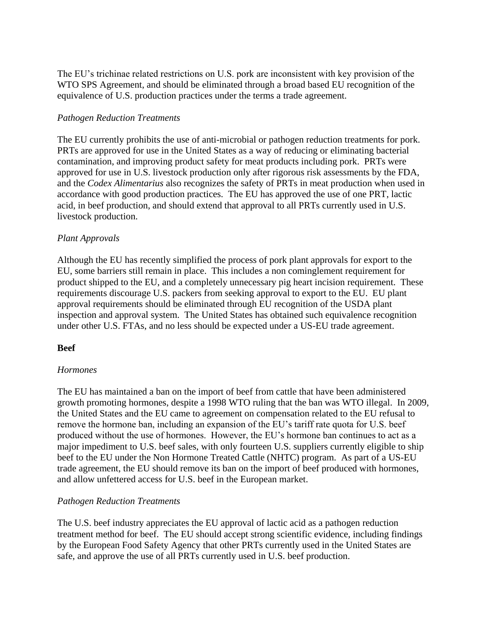The EU's trichinae related restrictions on U.S. pork are inconsistent with key provision of the WTO SPS Agreement, and should be eliminated through a broad based EU recognition of the equivalence of U.S. production practices under the terms a trade agreement.

### *Pathogen Reduction Treatments*

The EU currently prohibits the use of anti-microbial or pathogen reduction treatments for pork. PRTs are approved for use in the United States as a way of reducing or eliminating bacterial contamination, and improving product safety for meat products including pork. PRTs were approved for use in U.S. livestock production only after rigorous risk assessments by the FDA, and the *Codex Alimentarius* also recognizes the safety of PRTs in meat production when used in accordance with good production practices. The EU has approved the use of one PRT, lactic acid, in beef production, and should extend that approval to all PRTs currently used in U.S. livestock production.

### *Plant Approvals*

Although the EU has recently simplified the process of pork plant approvals for export to the EU, some barriers still remain in place. This includes a non cominglement requirement for product shipped to the EU, and a completely unnecessary pig heart incision requirement. These requirements discourage U.S. packers from seeking approval to export to the EU. EU plant approval requirements should be eliminated through EU recognition of the USDA plant inspection and approval system. The United States has obtained such equivalence recognition under other U.S. FTAs, and no less should be expected under a US-EU trade agreement.

#### **Beef**

#### *Hormones*

The EU has maintained a ban on the import of beef from cattle that have been administered growth promoting hormones, despite a 1998 WTO ruling that the ban was WTO illegal. In 2009, the United States and the EU came to agreement on compensation related to the EU refusal to remove the hormone ban, including an expansion of the EU's tariff rate quota for U.S. beef produced without the use of hormones. However, the EU's hormone ban continues to act as a major impediment to U.S. beef sales, with only fourteen U.S. suppliers currently eligible to ship beef to the EU under the Non Hormone Treated Cattle (NHTC) program. As part of a US-EU trade agreement, the EU should remove its ban on the import of beef produced with hormones, and allow unfettered access for U.S. beef in the European market.

#### *Pathogen Reduction Treatments*

The U.S. beef industry appreciates the EU approval of lactic acid as a pathogen reduction treatment method for beef. The EU should accept strong scientific evidence, including findings by the European Food Safety Agency that other PRTs currently used in the United States are safe, and approve the use of all PRTs currently used in U.S. beef production.